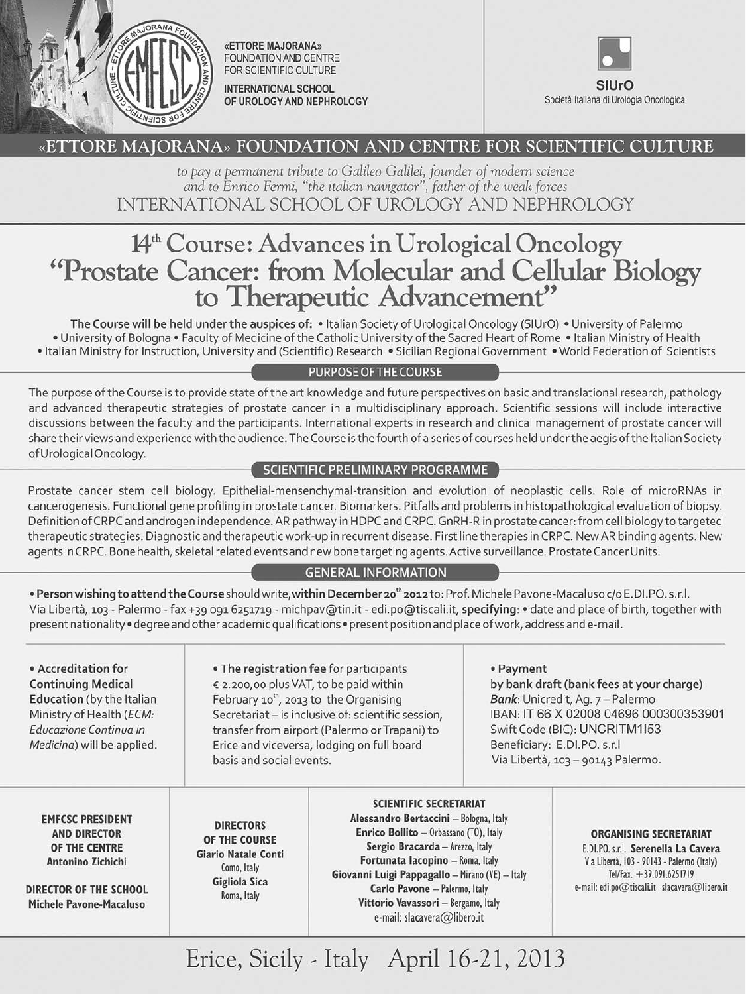

«ETTORE MAJORANA» **FOUNDATION AND CENTRE** FOR SCIENTIFIC CULTURE INTERNATIONAL SCHOOL

OF UROLOGY AND NEPHROLOGY



# «ETTORE MAJORANA» FOUNDATION AND CENTRE FOR SCIENTIFIC CULTURE

to pay a permanent tribute to Galileo Galilei, founder of modern science and to Enrico Fermi, "the italian navigator", father of the weak forces INTERNATIONAL SCHOOL OF UROLOGY AND NEPHROLOGY

# 14<sup>th</sup> Course: Advances in Urological Oncology "Prostate Cancer: from Molecular and Cellular Biology<br>to Therapeutic Advancement"

The Course will be held under the auspices of: • Italian Society of Urological Oncology (SIUrO) • University of Palermo . University of Bologna . Faculty of Medicine of the Catholic University of the Sacred Heart of Rome . Italian Ministry of Health . Italian Ministry for Instruction, University and (Scientific) Research . Sicilian Regional Government . World Federation of Scientists

#### PURPOSE OF THE COURSE

The purpose of the Course is to provide state of the art knowledge and future perspectives on basic and translational research, pathology and advanced therapeutic strategies of prostate cancer in a multidisciplinary approach. Scientific sessions will include interactive discussions between the faculty and the participants. International experts in research and clinical management of prostate cancer will share their views and experience with the audience. The Course is the fourth of a series of courses held under the aegis of the Italian Society of Urological Oncology.

# SCIENTIFIC PRELIMINARY PROGRAMME

Prostate cancer stem cell biology. Epithelial-mensenchymal-transition and evolution of neoplastic cells. Role of microRNAs in cancerogenesis. Functional gene profiling in prostate cancer. Biomarkers. Pitfalls and problems in histopathological evaluation of biopsy. Definition of CRPC and androgen independence. AR pathway in HDPC and CRPC. GnRH-R in prostate cancer: from cell biology to targeted therapeutic strategies. Diagnostic and therapeutic work-up in recurrent disease. First line therapies in CRPC. New AR binding agents. New agents in CRPC. Bone health, skeletal related events and new bone targeting agents. Active surveillance. Prostate Cancer Units.

# **GENERAL INFORMATION**

. Person wishing to attend the Course should write, within December 20<sup>th</sup> 2012 to: Prof. Michele Pavone-Macaluso c/o E.DI.PO. s.r.l. Via Libertà, 103 - Palermo - fax +39 091 6251719 - michpav@tin.it - edi.po@tiscali.it, specifying: • date and place of birth, together with present nationality . degree and other academic qualifications . present position and place of work, address and e-mail.

#### • Accreditation for **Continuing Medical Education** (by the Italian Ministry of Health (ECM: Educazione Continua in Medicina) will be applied.

. The registration fee for participants € 2.200,00 plus VAT, to be paid within February 10<sup>th</sup>, 2013 to the Organising Secretariat - is inclusive of: scientific session, transfer from airport (Palermo or Trapani) to Erice and viceversa, lodging on full board basis and social events.

#### • Payment by bank draft (bank fees at your charge) Bank: Unicredit, Aq. 7 - Palermo IBAN: IT 66 X 02008 04696 000300353901 Swift Code (BIC): UNCRITM1I53 Beneficiary: E.DI.PO. s.r.l Via Libertà, 103 - 90143 Palermo.

**EMFCSC PRESIDENT AND DIRECTOR** OF THE CENTRE Antonino Zichichi

DIRECTOR OF THE SCHOOL Michele Pavone-Macaluso

#### **DIRECTORS** OF THE COURSE Giario Natale Conti Como, Italy Gigliola Sica Roma, Italy

# **SCIENTIFIC SECRETARIAT**

Alessandro Bertaccini - Bologna, Italy Enrico Bollito - Orbassano (TO), Italy Sergio Bracarda - Arezzo, Italy Fortunata Iacopino - Roma, Italy Giovanni Luigi Pappagallo - Mirano (VE) - Italy Carlo Pavone - Palermo, Italy Vittorio Vavassori - Bergamo, Italy e-mail: slacavera@libero.it

#### **ORGANISING SECRETARIAT** E.DI.PO. s.r.l. Serenella La Cavera Via Libertà, 103 - 90143 - Palermo (Italy) Tel/Fax. +39.091.6251719 e-mail: edi.po@tiscali.it slacavera@libero.it

Erice, Sicily - Italy April 16-21, 2013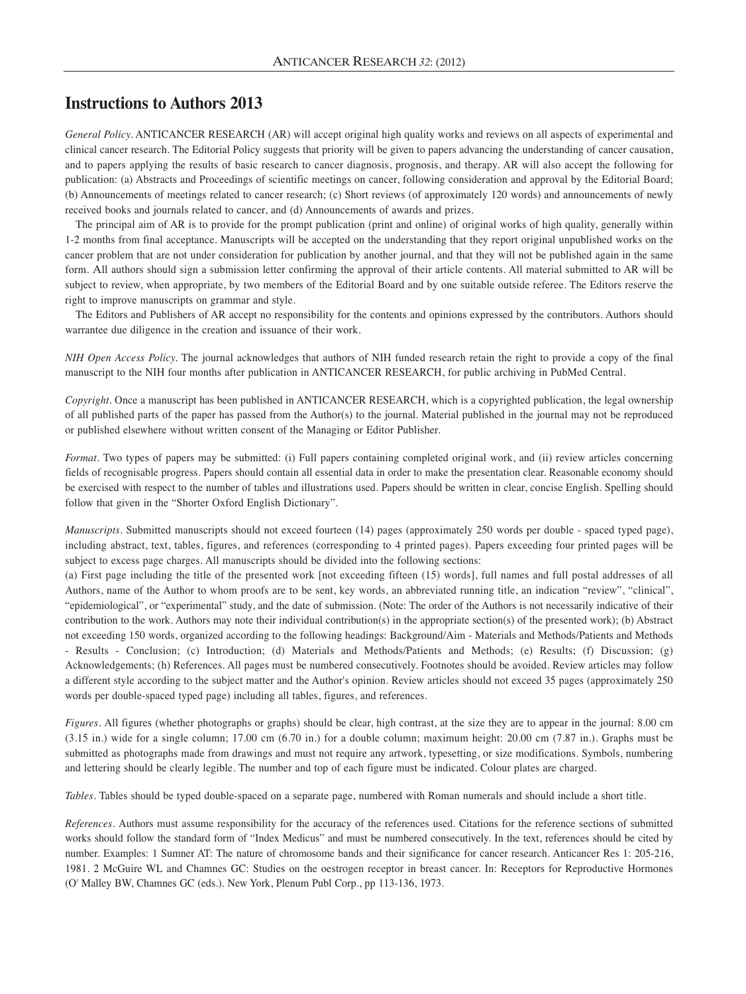# **Instructions to Authors 2013**

*General Policy.* ANTICANCER RESEARCH (AR) will accept original high quality works and reviews on all aspects of experimental and clinical cancer research. The Editorial Policy suggests that priority will be given to papers advancing the understanding of cancer causation, and to papers applying the results of basic research to cancer diagnosis, prognosis, and therapy. AR will also accept the following for publication: (a) Abstracts and Proceedings of scientific meetings on cancer, following consideration and approval by the Editorial Board; (b) Announcements of meetings related to cancer research; (c) Short reviews (of approximately 120 words) and announcements of newly received books and journals related to cancer, and (d) Announcements of awards and prizes.

The principal aim of AR is to provide for the prompt publication (print and online) of original works of high quality, generally within 1-2 months from final acceptance. Manuscripts will be accepted on the understanding that they report original unpublished works on the cancer problem that are not under consideration for publication by another journal, and that they will not be published again in the same form. All authors should sign a submission letter confirming the approval of their article contents. All material submitted to AR will be subject to review, when appropriate, by two members of the Editorial Board and by one suitable outside referee. The Editors reserve the right to improve manuscripts on grammar and style.

The Editors and Publishers of AR accept no responsibility for the contents and opinions expressed by the contributors. Authors should warrantee due diligence in the creation and issuance of their work.

*NIH Open Access Policy.* The journal acknowledges that authors of NIH funded research retain the right to provide a copy of the final manuscript to the NIH four months after publication in ANTICANCER RESEARCH, for public archiving in PubMed Central.

*Copyright.* Once a manuscript has been published in ANTICANCER RESEARCH, which is a copyrighted publication, the legal ownership of all published parts of the paper has passed from the Author(s) to the journal. Material published in the journal may not be reproduced or published elsewhere without written consent of the Managing or Editor Publisher.

*Format*. Two types of papers may be submitted: (i) Full papers containing completed original work, and (ii) review articles concerning fields of recognisable progress. Papers should contain all essential data in order to make the presentation clear. Reasonable economy should be exercised with respect to the number of tables and illustrations used. Papers should be written in clear, concise English. Spelling should follow that given in the "Shorter Oxford English Dictionary".

*Manuscripts*. Submitted manuscripts should not exceed fourteen (14) pages (approximately 250 words per double - spaced typed page), including abstract, text, tables, figures, and references (corresponding to 4 printed pages). Papers exceeding four printed pages will be subject to excess page charges. All manuscripts should be divided into the following sections:

(a) First page including the title of the presented work [not exceeding fifteen (15) words], full names and full postal addresses of all Authors, name of the Author to whom proofs are to be sent, key words, an abbreviated running title, an indication "review", "clinical", "epidemiological", or "experimental" study, and the date of submission. (Note: The order of the Authors is not necessarily indicative of their contribution to the work. Authors may note their individual contribution(s) in the appropriate section(s) of the presented work); (b) Abstract not exceeding 150 words, organized according to the following headings: Background/Aim - Materials and Methods/Patients and Methods - Results - Conclusion; (c) Introduction; (d) Materials and Methods/Patients and Methods; (e) Results; (f) Discussion; (g) Acknowledgements; (h) References. All pages must be numbered consecutively. Footnotes should be avoided. Review articles may follow a different style according to the subject matter and the Author's opinion. Review articles should not exceed 35 pages (approximately 250 words per double-spaced typed page) including all tables, figures, and references.

*Figures.* All figures (whether photographs or graphs) should be clear, high contrast, at the size they are to appear in the journal: 8.00 cm (3.15 in.) wide for a single column; 17.00 cm (6.70 in.) for a double column; maximum height: 20.00 cm (7.87 in.). Graphs must be submitted as photographs made from drawings and must not require any artwork, typesetting, or size modifications. Symbols, numbering and lettering should be clearly legible. The number and top of each figure must be indicated. Colour plates are charged.

*Tables.* Tables should be typed double-spaced on a separate page, numbered with Roman numerals and should include a short title.

*References.* Authors must assume responsibility for the accuracy of the references used. Citations for the reference sections of submitted works should follow the standard form of "Index Medicus" and must be numbered consecutively. In the text, references should be cited by number. Examples: 1 Sumner AT: The nature of chromosome bands and their significance for cancer research. Anticancer Res 1: 205-216, 1981. 2 McGuire WL and Chamnes GC: Studies on the oestrogen receptor in breast cancer. In: Receptors for Reproductive Hormones (O' Malley BW, Chamnes GC (eds.). New York, Plenum Publ Corp., pp 113-136, 1973.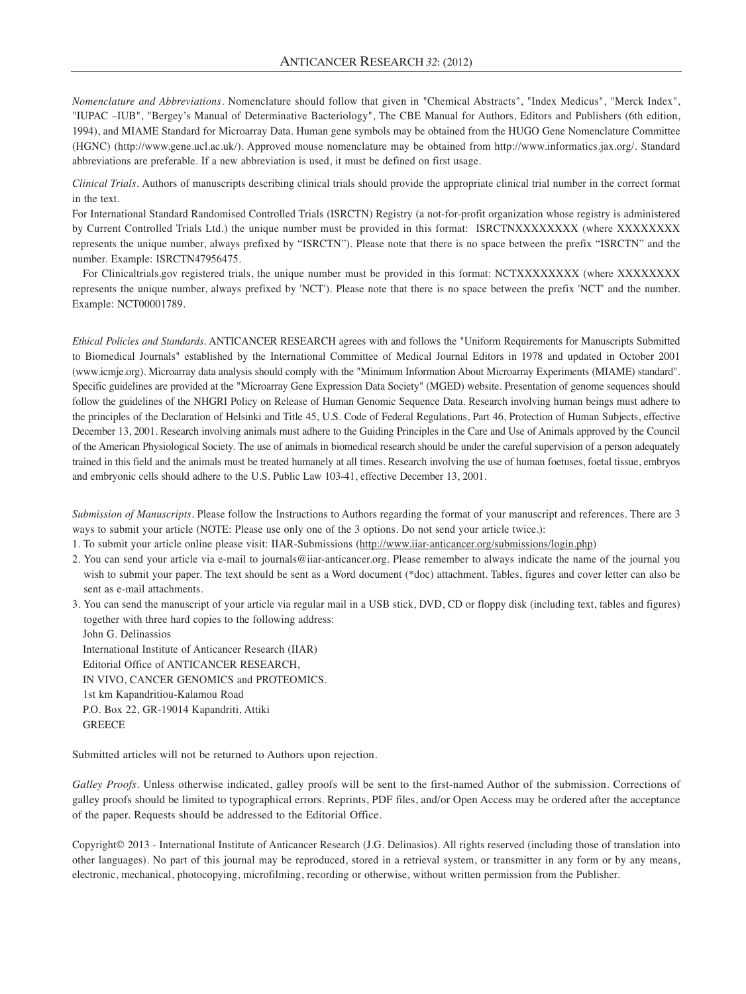*Nomenclature and Abbreviations.* Nomenclature should follow that given in "Chemical Abstracts", "Index Medicus", "Merck Index", "IUPAC –IUB", "Bergey's Manual of Determinative Bacteriology", The CBE Manual for Authors, Editors and Publishers (6th edition, 1994), and MIAME Standard for Microarray Data. Human gene symbols may be obtained from the HUGO Gene Nomenclature Committee (HGNC) (http://www.gene.ucl.ac.uk/). Approved mouse nomenclature may be obtained from http://www.informatics.jax.org/. Standard abbreviations are preferable. If a new abbreviation is used, it must be defined on first usage.

*Clinical Trials.* Authors of manuscripts describing clinical trials should provide the appropriate clinical trial number in the correct format in the text.

For International Standard Randomised Controlled Trials (ISRCTN) Registry (a not-for-profit organization whose registry is administered by Current Controlled Trials Ltd.) the unique number must be provided in this format: ISRCTNXXXXXXXX (where XXXXXXXX represents the unique number, always prefixed by "ISRCTN"). Please note that there is no space between the prefix "ISRCTN" and the number. Example: ISRCTN47956475.

For Clinicaltrials.gov registered trials, the unique number must be provided in this format: NCTXXXXXXXX (where XXXXXXXX represents the unique number, always prefixed by 'NCT'). Please note that there is no space between the prefix 'NCT' and the number. Example: NCT00001789.

*Ethical Policies and Standards.* ANTICANCER RESEARCH agrees with and follows the "Uniform Requirements for Manuscripts Submitted to Biomedical Journals" established by the International Committee of Medical Journal Editors in 1978 and updated in October 2001 (www.icmje.org). Microarray data analysis should comply with the "Minimum Information About Microarray Experiments (MIAME) standard". Specific guidelines are provided at the "Microarray Gene Expression Data Society" (MGED) website. Presentation of genome sequences should follow the guidelines of the NHGRI Policy on Release of Human Genomic Sequence Data. Research involving human beings must adhere to the principles of the Declaration of Helsinki and Title 45, U.S. Code of Federal Regulations, Part 46, Protection of Human Subjects, effective December 13, 2001. Research involving animals must adhere to the Guiding Principles in the Care and Use of Animals approved by the Council of the American Physiological Society. The use of animals in biomedical research should be under the careful supervision of a person adequately trained in this field and the animals must be treated humanely at all times. Research involving the use of human foetuses, foetal tissue, embryos and embryonic cells should adhere to the U.S. Public Law 103-41, effective December 13, 2001.

*Submission of Manuscripts.* Please follow the Instructions to Authors regarding the format of your manuscript and references. There are 3 ways to submit your article (NOTE: Please use only one of the 3 options. Do not send your article twice.):

- 1. To submit your article online please visit: IIAR-Submissions (http://www.iiar-anticancer.org/submissions/login.php)
- 2. You can send your article via e-mail to journals@iiar-anticancer.org. Please remember to always indicate the name of the journal you wish to submit your paper. The text should be sent as a Word document (\*doc) attachment. Tables, figures and cover letter can also be sent as e-mail attachments.
- 3. You can send the manuscript of your article via regular mail in a USB stick, DVD, CD or floppy disk (including text, tables and figures) together with three hard copies to the following address:

John G. Delinassios International Institute of Anticancer Research (IIAR) Editorial Office of ANTICANCER RESEARCH, IN VIVO, CANCER GENOMICS and PROTEOMICS. 1st km Kapandritiou-Kalamou Road P.O. Box 22, GR-19014 Kapandriti, Attiki **GREECE** 

Submitted articles will not be returned to Authors upon rejection.

*Galley Proofs*. Unless otherwise indicated, galley proofs will be sent to the first-named Author of the submission. Corrections of galley proofs should be limited to typographical errors. Reprints, PDF files, and/or Open Access may be ordered after the acceptance of the paper. Requests should be addressed to the Editorial Office.

Copyright© 2013 - International Institute of Anticancer Research (J.G. Delinasios). All rights reserved (including those of translation into other languages). No part of this journal may be reproduced, stored in a retrieval system, or transmitter in any form or by any means, electronic, mechanical, photocopying, microfilming, recording or otherwise, without written permission from the Publisher.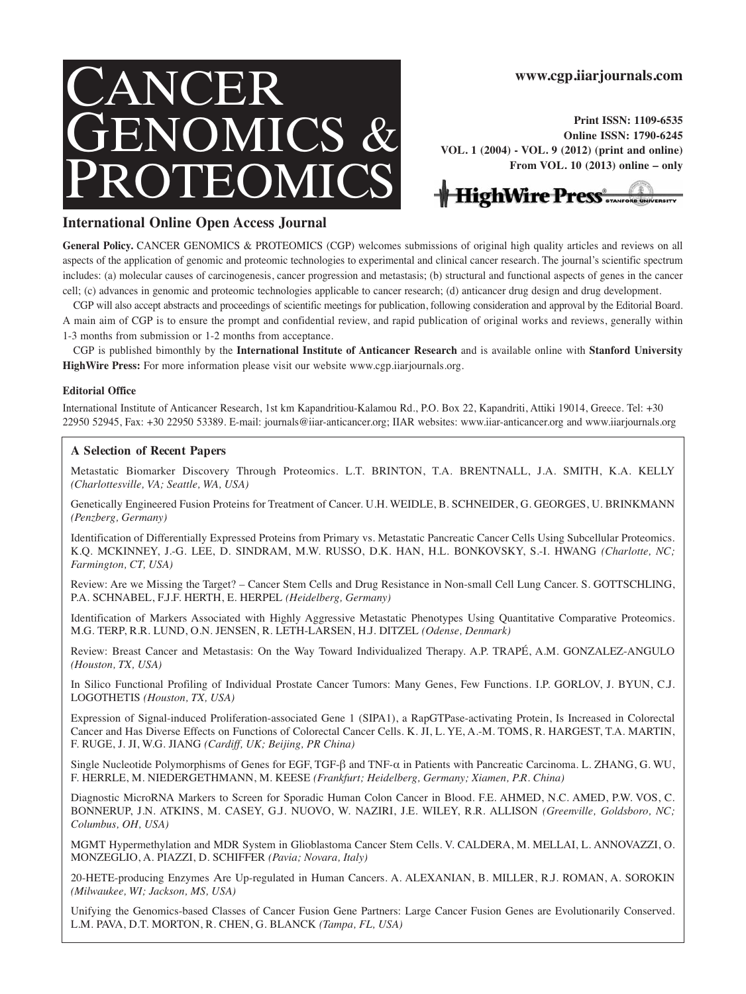# NCER GENOMICS & PROTEOMICS

**www.cgp.iiarjournals.com**

**Print ISSN: 1109-6535 Online ISSN: 1790-6245 VOL. 1 (2004) - VOL. 9 (2012) (print and online) From VOL. 10 (2013) online – only**



#### **International Online Open Access Journal**

General Policy. CANCER GENOMICS & PROTEOMICS (CGP) welcomes submissions of original high quality articles and reviews on all aspects of the application of genomic and proteomic technologies to experimental and clinical cancer research. The journal's scientific spectrum includes: (a) molecular causes of carcinogenesis, cancer progression and metastasis; (b) structural and functional aspects of genes in the cancer cell; (c) advances in genomic and proteomic technologies applicable to cancer research; (d) anticancer drug design and drug development.

CGP will also accept abstracts and proceedings of scientific meetings for publication, following consideration and approval by the Editorial Board. A main aim of CGP is to ensure the prompt and confidential review, and rapid publication of original works and reviews, generally within 1-3 months from submission or 1-2 months from acceptance.

CGP is published bimonthly by the **International Institute of Anticancer Research** and is available online with **Stanford University HighWire Press:** For more information please visit our website www.cgp.iiarjournals.org.

#### **Editorial Office**

International Institute of Anticancer Research, 1st km Kapandritiou-Kalamou Rd., P.O. Box 22, Kapandriti, Attiki 19014, Greece. Tel: +30 22950 52945, Fax: +30 22950 53389. E-mail: journals@iiar-anticancer.org; IIAR websites: www.iiar-anticancer.org and www.iiarjournals.org

#### **A Selection of Recent Papers**

Metastatic Biomarker Discovery Through Proteomics. L.T. BRINTON, T.A. BRENTNALL, J.A. SMITH, K.A. KELLY *(Charlottesville, VA; Seattle, WA, USA)*

Genetically Engineered Fusion Proteins for Treatment of Cancer. U.H. WEIDLE, B. SCHNEIDER, G. GEORGES, U. BRINKMANN *(Penzberg, Germany)*

Identification of Differentially Expressed Proteins from Primary vs. Metastatic Pancreatic Cancer Cells Using Subcellular Proteomics. K.Q. MCKINNEY, J.-G. LEE, D. SINDRAM, M.W. RUSSO, D.K. HAN, H.L. BONKOVSKY, S.-I. HWANG *(Charlotte, NC; Farmington, CT, USA)*

Review: Are we Missing the Target? – Cancer Stem Cells and Drug Resistance in Non-small Cell Lung Cancer. S. GOTTSCHLING, P.A. SCHNABEL, F.J.F. HERTH, E. HERPEL *(Heidelberg, Germany)*

Identification of Markers Associated with Highly Aggressive Metastatic Phenotypes Using Quantitative Comparative Proteomics. M.G. TERP, R.R. LUND, O.N. JENSEN, R. LETH-LARSEN, H.J. DITZEL *(Odense, Denmark)*

Review: Breast Cancer and Metastasis: On the Way Toward Individualized Therapy. A.P. TRAPÉ, A.M. GONZALEZ-ANGULO *(Houston, TX, USA)*

In Silico Functional Profiling of Individual Prostate Cancer Tumors: Many Genes, Few Functions. I.P. GORLOV, J. BYUN, C.J. LOGOTHETIS *(Houston, TX, USA)*

Expression of Signal-induced Proliferation-associated Gene 1 (SIPA1), a RapGTPase-activating Protein, Is Increased in Colorectal Cancer and Has Diverse Effects on Functions of Colorectal Cancer Cells. K. JI, L. YE, A.-M. TOMS, R. HARGEST, T.A. MARTIN, F. RUGE, J. JI, W.G. JIANG *(Cardiff, UK; Beijing, PR China)*

Single Nucleotide Polymorphisms of Genes for EGF, TGF-β and TNF-α in Patients with Pancreatic Carcinoma. L. ZHANG, G. WU, F. HERRLE, M. NIEDERGETHMANN, M. KEESE *(Frankfurt; Heidelberg, Germany; Xiamen, P.R. China)*

Diagnostic MicroRNA Markers to Screen for Sporadic Human Colon Cancer in Blood. F.E. AHMED, N.C. AMED, P.W. VOS, C. BONNERUP, J.N. ATKINS, M. CASEY, G.J. NUOVO, W. NAZIRI, J.E. WILEY, R.R. ALLISON *(Greenville, Goldsboro, NC; Columbus, OH, USA)*

MGMT Hypermethylation and MDR System in Glioblastoma Cancer Stem Cells. V. CALDERA, M. MELLAI, L. ANNOVAZZI, O. MONZEGLIO, A. PIAZZI, D. SCHIFFER *(Pavia; Novara, Italy)*

20-HETE-producing Enzymes Αre Up-regulated in Human Cancers. A. ALEXANIAN, B. MILLER, R.J. ROMAN, A. SOROKIN *(Milwaukee, WI; Jackson, MS, USA)*

Unifying the Genomics-based Classes of Cancer Fusion Gene Partners: Large Cancer Fusion Genes are Evolutionarily Conserved. L.M. PAVA, D.T. MORTON, R. CHEN, G. BLANCK *(Tampa, FL, USA)*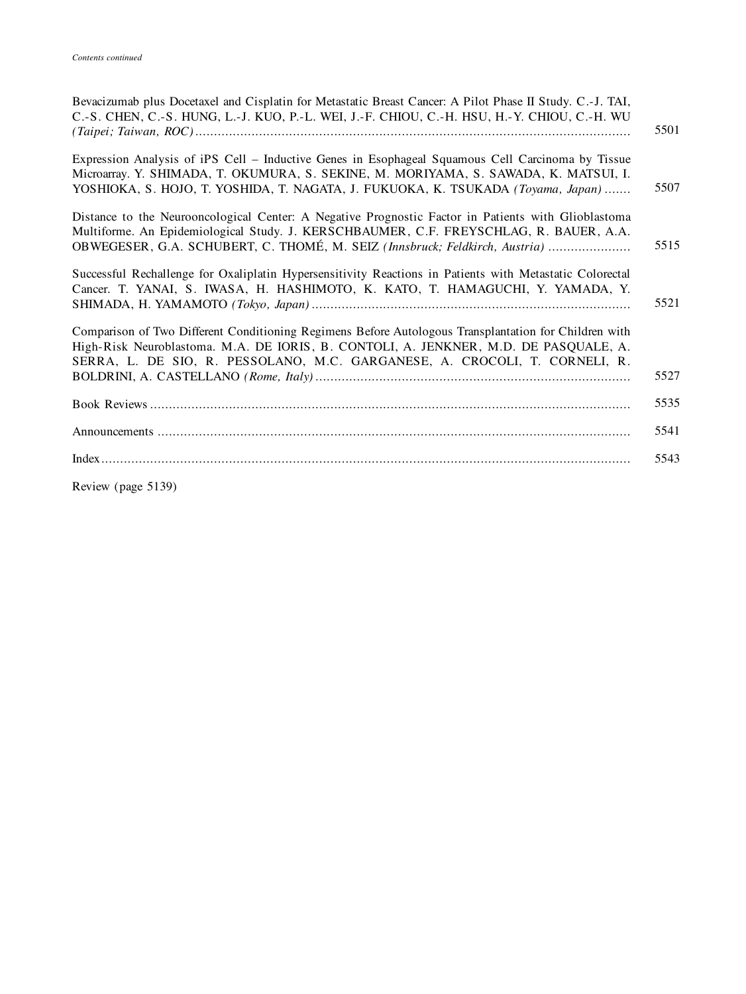| Bevacizumab plus Docetaxel and Cisplatin for Metastatic Breast Cancer: A Pilot Phase II Study. C.-J. TAI,<br>C.-S. CHEN, C.-S. HUNG, L.-J. KUO, P.-L. WEI, J.-F. CHIOU, C.-H. HSU, H.-Y. CHIOU, C.-H. WU                                                                      | 5501 |
|-------------------------------------------------------------------------------------------------------------------------------------------------------------------------------------------------------------------------------------------------------------------------------|------|
| Expression Analysis of iPS Cell – Inductive Genes in Esophageal Squamous Cell Carcinoma by Tissue<br>Microarray. Y. SHIMADA, T. OKUMURA, S. SEKINE, M. MORIYAMA, S. SAWADA, K. MATSUI, I.<br>YOSHIOKA, S. HOJO, T. YOSHIDA, T. NAGATA, J. FUKUOKA, K. TSUKADA (Toyama, Japan) | 5507 |
| Distance to the Neurooncological Center: A Negative Prognostic Factor in Patients with Glioblastoma<br>Multiforme. An Epidemiological Study. J. KERSCHBAUMER, C.F. FREYSCHLAG, R. BAUER, A.A.<br>OBWEGESER, G.A. SCHUBERT, C. THOMÉ, M. SEIZ (Innsbruck; Feldkirch, Austria)  | 5515 |
| Successful Rechallenge for Oxaliplatin Hypersensitivity Reactions in Patients with Metastatic Colorectal<br>Cancer. T. YANAI, S. IWASA, H. HASHIMOTO, K. KATO, T. HAMAGUCHI, Y. YAMADA, Y.                                                                                    | 5521 |
| Comparison of Two Different Conditioning Regimens Before Autologous Transplantation for Children with<br>High-Risk Neuroblastoma. M.A. DE IORIS, B. CONTOLI, A. JENKNER, M.D. DE PASQUALE, A.<br>SERRA, L. DE SIO, R. PESSOLANO, M.C. GARGANESE, A. CROCOLI, T. CORNELI, R.   | 5527 |
|                                                                                                                                                                                                                                                                               | 5535 |
|                                                                                                                                                                                                                                                                               | 5541 |
|                                                                                                                                                                                                                                                                               | 5543 |
|                                                                                                                                                                                                                                                                               |      |

Review (page 5139)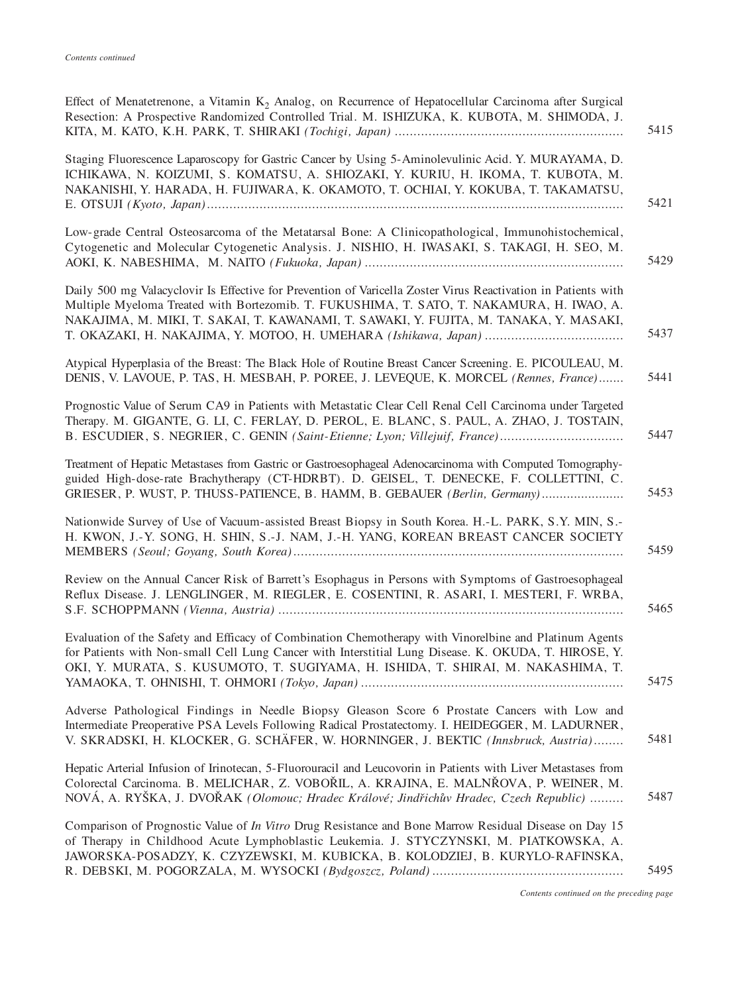| 5415 |
|------|
| 5421 |
| 5429 |
| 5437 |
| 5441 |
| 5447 |
| 5453 |
| 5459 |
| 5465 |
| 5475 |
| 5481 |
| 5487 |
| 5495 |
|      |

*Contents continued on the preceding page*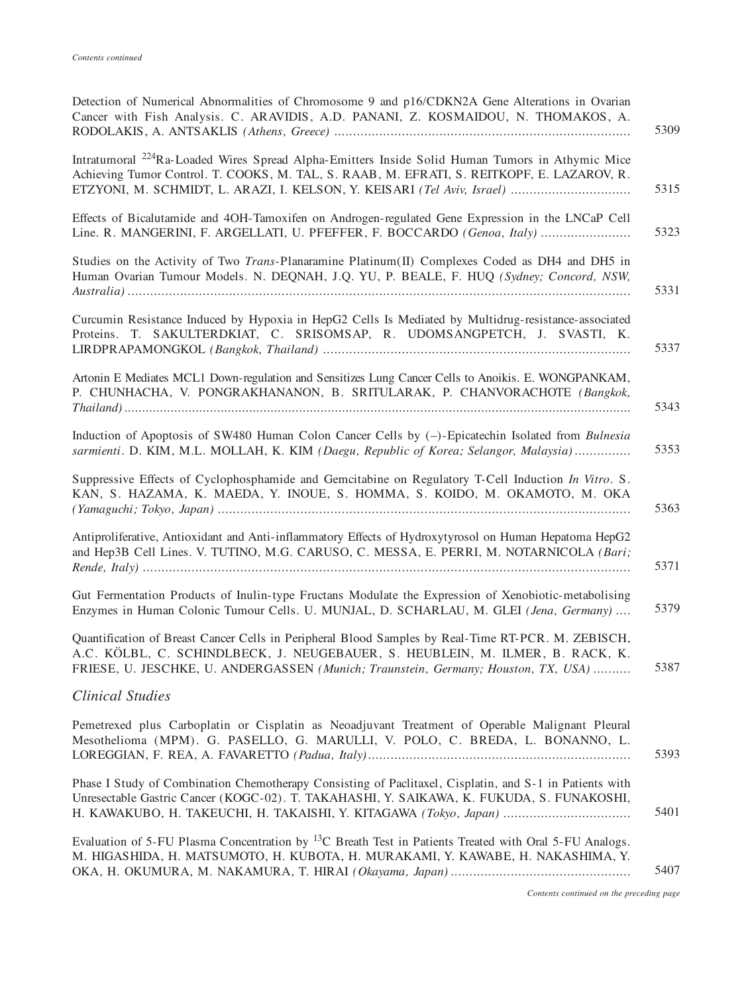| Detection of Numerical Abnormalities of Chromosome 9 and p16/CDKN2A Gene Alterations in Ovarian<br>Cancer with Fish Analysis. C. ARAVIDIS, A.D. PANANI, Z. KOSMAIDOU, N. THOMAKOS, A.<br>5309                                                                                     |
|-----------------------------------------------------------------------------------------------------------------------------------------------------------------------------------------------------------------------------------------------------------------------------------|
| Intratumoral <sup>224</sup> Ra-Loaded Wires Spread Alpha-Emitters Inside Solid Human Tumors in Athymic Mice<br>Achieving Tumor Control. T. COOKS, M. TAL, S. RAAB, M. EFRATI, S. REITKOPF, E. LAZAROV, R.<br>5315                                                                 |
| Effects of Bicalutamide and 4OH-Tamoxifen on Androgen-regulated Gene Expression in the LNCaP Cell<br>5323<br>Line. R. MANGERINI, F. ARGELLATI, U. PFEFFER, F. BOCCARDO (Genoa, Italy)                                                                                             |
| Studies on the Activity of Two Trans-Planaramine Platinum(II) Complexes Coded as DH4 and DH5 in<br>Human Ovarian Tumour Models. N. DEQNAH, J.Q. YU, P. BEALE, F. HUQ (Sydney; Concord, NSW,<br>5331                                                                               |
| Curcumin Resistance Induced by Hypoxia in HepG2 Cells Is Mediated by Multidrug-resistance-associated<br>Proteins. T. SAKULTERDKIAT, C. SRISOMSAP, R. UDOMSANGPETCH, J. SVASTI, K.<br>5337                                                                                         |
| Artonin E Mediates MCL1 Down-regulation and Sensitizes Lung Cancer Cells to Anoikis. E. WONGPANKAM,<br>P. CHUNHACHA, V. PONGRAKHANANON, B. SRITULARAK, P. CHANVORACHOTE (Bangkok,<br>5343                                                                                         |
| Induction of Apoptosis of SW480 Human Colon Cancer Cells by (-)-Epicatechin Isolated from Bulnesia<br>5353<br>sarmienti. D. KIM, M.L. MOLLAH, K. KIM (Daegu, Republic of Korea; Selangor, Malaysia)                                                                               |
| Suppressive Effects of Cyclophosphamide and Gemcitabine on Regulatory T-Cell Induction In Vitro. S.<br>KAN, S. HAZAMA, K. MAEDA, Y. INOUE, S. HOMMA, S. KOIDO, M. OKAMOTO, M. OKA<br>5363                                                                                         |
| Antiproliferative, Antioxidant and Anti-inflammatory Effects of Hydroxytyrosol on Human Hepatoma HepG2<br>and Hep3B Cell Lines. V. TUTINO, M.G. CARUSO, C. MESSA, E. PERRI, M. NOTARNICOLA (Bari;<br>5371                                                                         |
| Gut Fermentation Products of Inulin-type Fructans Modulate the Expression of Xenobiotic-metabolising<br>5379<br>Enzymes in Human Colonic Tumour Cells. U. MUNJAL, D. SCHARLAU, M. GLEI (Jena, Germany)                                                                            |
| Quantification of Breast Cancer Cells in Peripheral Blood Samples by Real-Time RT-PCR. M. ZEBISCH,<br>A.C. KÖLBL, C. SCHINDLBECK, J. NEUGEBAUER, S. HEUBLEIN, M. ILMER, B. RACK, K.<br>5387<br>FRIESE, U. JESCHKE, U. ANDERGASSEN (Munich; Traunstein, Germany; Houston, TX, USA) |
| <b>Clinical Studies</b>                                                                                                                                                                                                                                                           |
| Pemetrexed plus Carboplatin or Cisplatin as Neoadjuvant Treatment of Operable Malignant Pleural<br>Mesothelioma (MPM). G. PASELLO, G. MARULLI, V. POLO, C. BREDA, L. BONANNO, L.<br>5393                                                                                          |
| Phase I Study of Combination Chemotherapy Consisting of Paclitaxel, Cisplatin, and S-1 in Patients with<br>Unresectable Gastric Cancer (KOGC-02). T. TAKAHASHI, Y. SAIKAWA, K. FUKUDA, S. FUNAKOSHI,<br>5401<br>H. KAWAKUBO, H. TAKEUCHI, H. TAKAISHI, Y. KITAGAWA (Tokyo, Japan) |
| Evaluation of 5-FU Plasma Concentration by <sup>13</sup> C Breath Test in Patients Treated with Oral 5-FU Analogs.<br>M. HIGASHIDA, H. MATSUMOTO, H. KUBOTA, H. MURAKAMI, Y. KAWABE, H. NAKASHIMA, Y.<br>5407                                                                     |

*Contents continued on the preceding page*